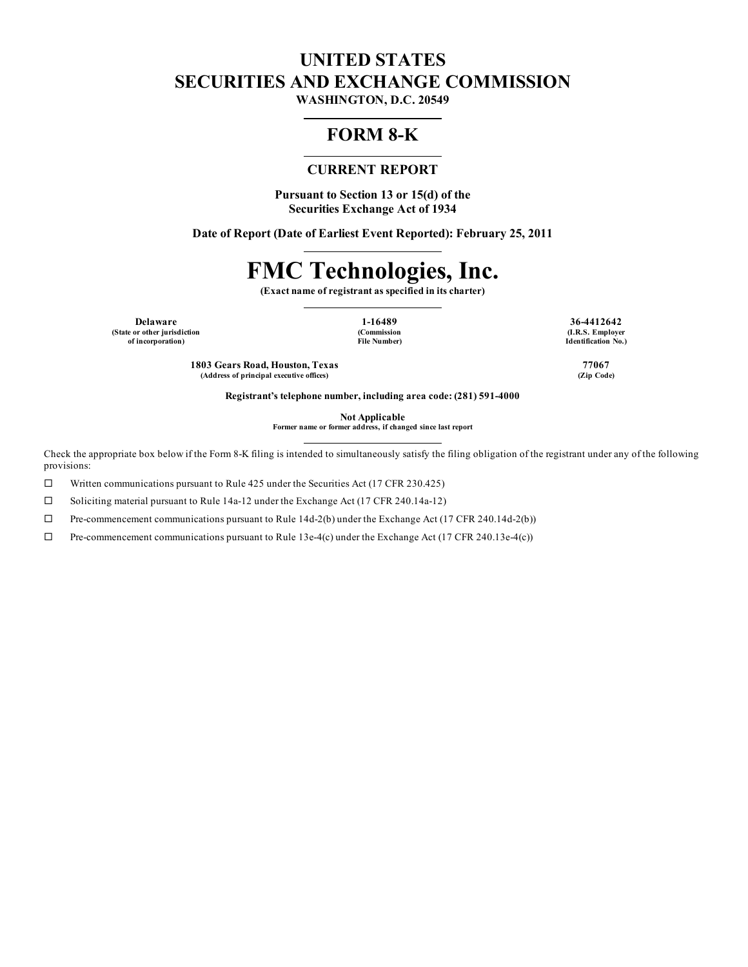# **UNITED STATES SECURITIES AND EXCHANGE COMMISSION**

**WASHINGTON, D.C. 20549**

## **FORM 8-K**

## **CURRENT REPORT**

**Pursuant to Section 13 or 15(d) of the Securities Exchange Act of 1934**

**Date of Report (Date of Earliest Event Reported): February 25, 2011**

# **FMC Technologies, Inc.**

**(Exact name of registrant as specified in its charter)**

**Delaware 1-16489 36-4412642 (State or other jurisdiction of incorporation)**

**(Commission File Number)**

**(I.R.S. Employer Identification No.)**

**1803 Gears Road, Houston, Texas 77067 (Address of principal executive offices) (Zip Code)**

**Registrant's telephone number, including area code: (281) 591-4000**

**Not Applicable**

**Former name or former address, if changed since last report**

Check the appropriate box below if the Form 8-K filing is intended to simultaneously satisfy the filing obligation of the registrant under any of the following provisions:

 $\Box$  Written communications pursuant to Rule 425 under the Securities Act (17 CFR 230.425)

 $\square$  Soliciting material pursuant to Rule 14a-12 under the Exchange Act (17 CFR 240.14a-12)

 $\Box$  Pre-commencement communications pursuant to Rule 14d-2(b) under the Exchange Act (17 CFR 240.14d-2(b))

 $\Box$  Pre-commencement communications pursuant to Rule 13e-4(c) under the Exchange Act (17 CFR 240.13e-4(c))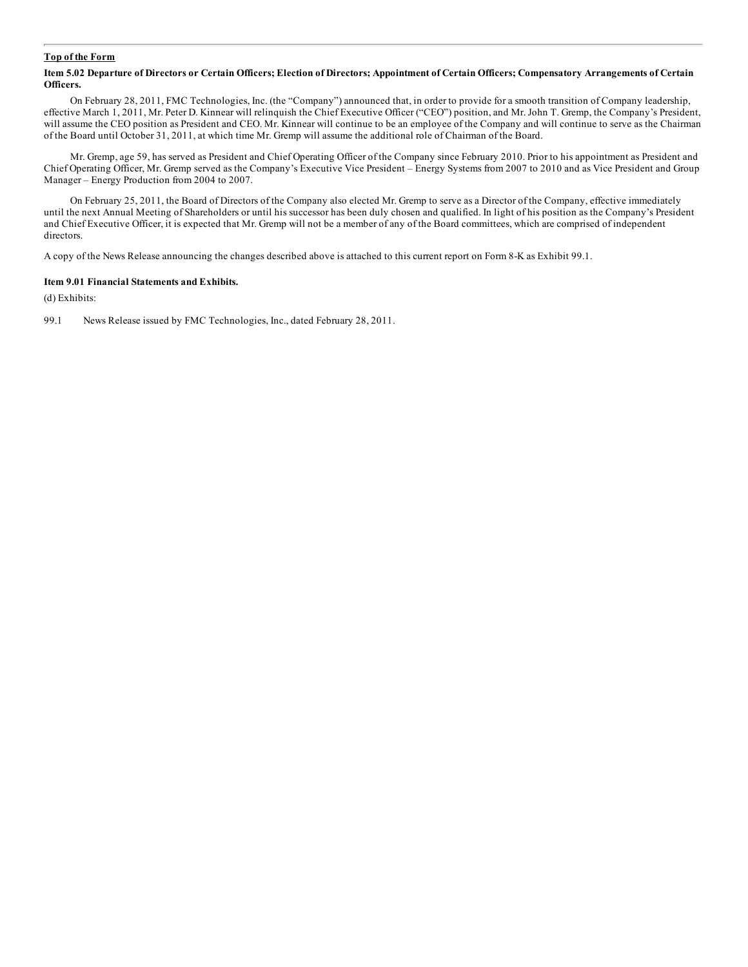#### **Top of the Form**

#### Item 5.02 Departure of Directors or Certain Officers; Election of Directors; Appointment of Certain Officers; Compensatory Arrangements of Certain **Officers.**

On February 28, 2011, FMC Technologies, Inc. (the "Company") announced that, in order to provide for a smooth transition of Company leadership, effective March 1, 2011, Mr. Peter D. Kinnear will relinquish the Chief Executive Officer ("CEO") position, and Mr. John T. Gremp, the Company's President, will assume the CEO position as President and CEO. Mr. Kinnear will continue to be an employee of the Company and will continue to serve as the Chairman of the Board until October 31, 2011, at which time Mr. Gremp will assume the additional role of Chairman of the Board.

Mr. Gremp, age 59, has served as President and Chief Operating Officer of the Company since February 2010. Prior to his appointment as President and Chief Operating Officer, Mr. Gremp served as the Company's Executive Vice President – Energy Systems from 2007 to 2010 and as Vice President and Group Manager – Energy Production from 2004 to 2007.

On February 25, 2011, the Board of Directors of the Company also elected Mr. Gremp to serve as a Director of the Company, effective immediately until the next Annual Meeting of Shareholders or until his successor has been duly chosen and qualified. In light of his position as the Company's President and Chief Executive Officer, it is expected that Mr. Gremp will not be a member of any of the Board committees, which are comprised of independent directors.

A copy of the News Release announcing the changes described above is attached to this current report on Form 8-K as Exhibit 99.1.

#### **Item 9.01 Financial Statements and Exhibits.**

(d) Exhibits:

99.1 News Release issued by FMC Technologies, Inc., dated February 28, 2011.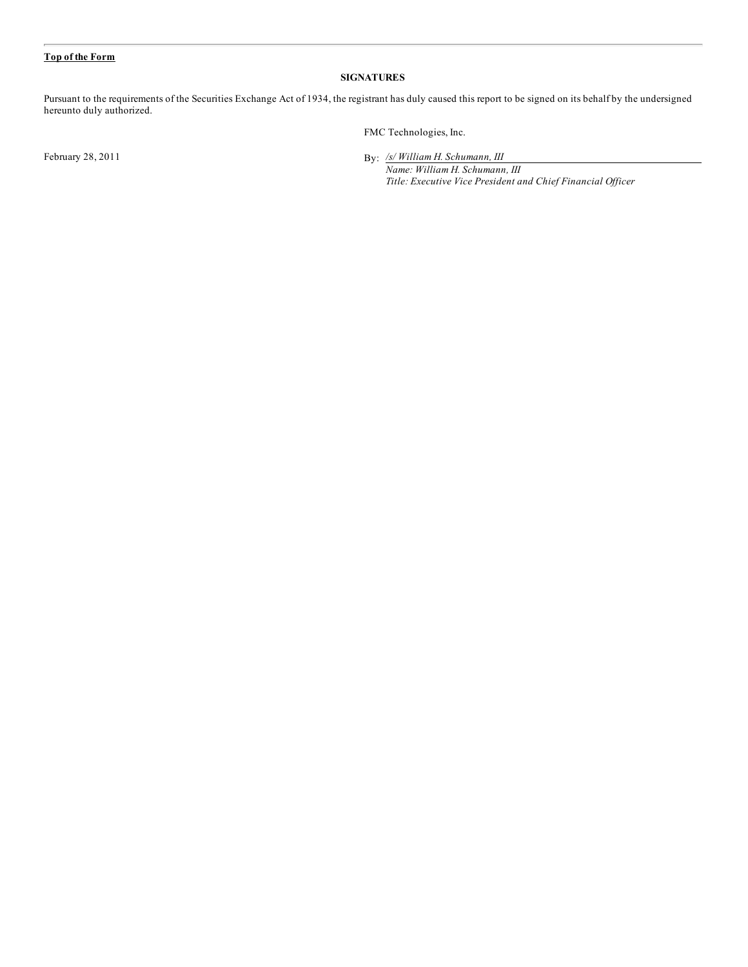#### **Top of the Form**

#### **SIGNATURES**

Pursuant to the requirements of the Securities Exchange Act of 1934, the registrant has duly caused this report to be signed on its behalf by the undersigned hereunto duly authorized.

February  $28, 2011$ 

FMC Technologies, Inc.

*/s/ William H. Schumann, III*

*Name: William H. Schumann, III Title: Executive Vice President and Chief Financial Of icer*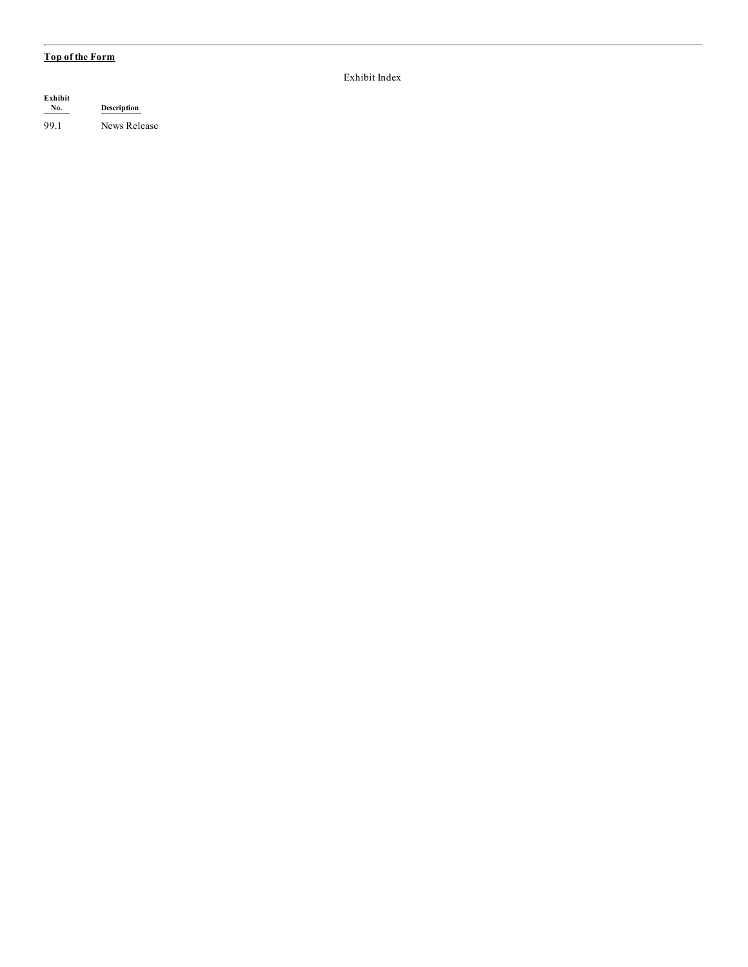### **Top of the Form**

| Exhibit<br>No. | Description  |  |
|----------------|--------------|--|
| 99.1           | News Release |  |

Exhibit Index